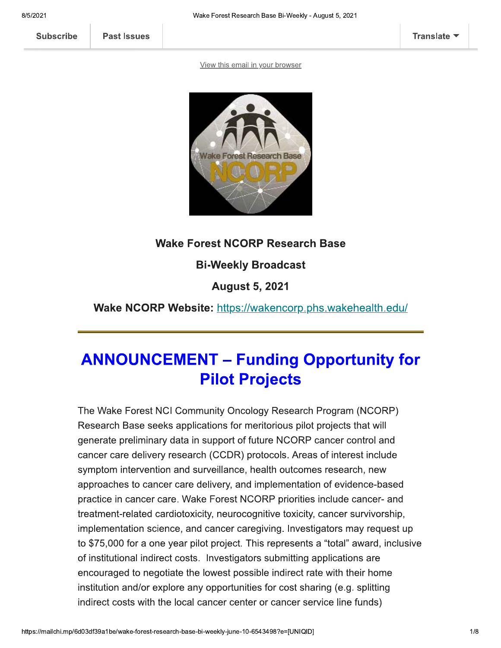**Past Issues** 

View this email in your browser



#### **Wake Forest NCORP Research Base**

#### **Bi-Weekly Broadcast**

**August 5, 2021** 

Wake NCORP Website: https://wakencorp.phs.wakehealth.edu/

## **ANNOUNCEMENT - Funding Opportunity for Pilot Projects**

The Wake Forest NCI Community Oncology Research Program (NCORP) Research Base seeks applications for meritorious pilot projects that will generate preliminary data in support of future NCORP cancer control and cancer care delivery research (CCDR) protocols. Areas of interest include symptom intervention and surveillance, health outcomes research, new approaches to cancer care delivery, and implementation of evidence-based practice in cancer care. Wake Forest NCORP priorities include cancer- and treatment-related cardiotoxicity, neurocognitive toxicity, cancer survivorship, implementation science, and cancer caregiving. Investigators may request up to \$75,000 for a one year pilot project. This represents a "total" award, inclusive of institutional indirect costs. Investigators submitting applications are encouraged to negotiate the lowest possible indirect rate with their home institution and/or explore any opportunities for cost sharing (e.g. splitting indirect costs with the local cancer center or cancer service line funds)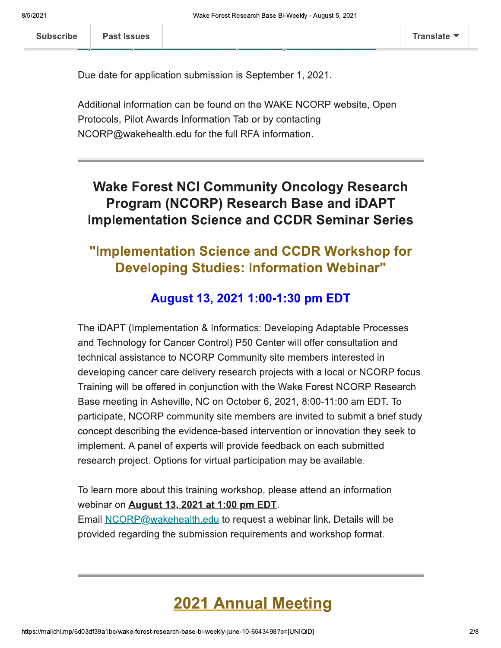<u>7 - 22 - 23 -</u> 3

.<br>.<br>.

+,8/9%:;<59

-- $\sim$ 

Due date for application submission is September 1, 2021.

"- $\sim$ 

<u>. . . .</u>

<u>-------- -</u>

Wake Forest Re<br>
ubscribe<br>
Past Issues<br>
Due date for application submission i<br>
Additional information can be found c<br>
Protocols, Pilot Awards Information T<br>
NCORP@wakehealth.edu for the full Additional information can be found on the WAKE NCORP Website, Open Esearch Base Bi-Weekly - August 5, 2021<br>
ITrans<br>
is September 1, 2021.<br>
on the WAKE NCORP website, Open<br>
Tab or by contacting<br>
I RFA information.<br> **MUNITY Oncology Research Base and iDAPT** Past Issues<br>
Due date for application submission is September 1, 2021<br>
Additional information can be found on the WAKE NCOR<br>
Protocols, Pilot Awards Information Tab or by contacting<br>
NCORP@wakehealth.edu for the full RFA i nealth.edu for the full RFA Information.

"-

## Due date for application submissi<br>
Additional information can be fou<br>
Protocols, Pilot Awards Information<br>
NCORP@wakehealth.edu for the<br>
Wake Forest NCI Co<br>
Program (NCORP)<br>
Implementation Scien **Wake Forest NCI Community Oncology Research** Program (NCORP) Research Base and iDAPT **Implementation Science and CCDR Seminar Series**

## "Implementation Science and CCDR Workshop for Developing Studies: Information Webinar"

#### August 13, 2021 1:00-1:30 pm EDT

The IDAPT (Implementation & Informatics: Developing Adaptable Processes and Technology for Cancer Control) P50 Center will offer consultation and **Studies: Information Webinar"**<br> **Studies: Information Webinar"**<br> **t 13, 2021 1:00-1:30 pm EDT**<br>
on & Informatics: Developing Adaptable Proce<br>
pr Control) P50 Center will offer consultation a<br>
CORP Community site members i technical assistance to NCORP Community site members interested in developing cancer care delivery research projec **13, 2021 1:00-1:30 pm EDT**<br>
& Informatics: Developing Adaptable Processes<br>
Control) P50 Center will offer consultation and<br>
DRP Community site members interested in<br>
very research projects with a local or NCORP focus.<br>
mj **August 13,**<br>The iDAPT (Implementation & I<br>and Technology for Cancer Cor<br>technical assistance to NCORP<br>developing cancer care delivery<br>Training will be offered in conjui<br>Base meeting in Asheville, NC<br>participate, NCORP com offered in conjunction with the wake Forest NCORP Research **August 13, 2021 1:00-1:30 pm ED**<br>plementation & Informatics: Developing Adap<br>y for Cancer Control) P50 Center will offer cor<br>tance to NCORP Community site members in<br>cer care delivery research projects with a loca<br>offered Base meeting in Asheville, NC on October 6, 2021, 8:00-11:00 am EDT. To  $\mathsf{par}$ icipate, NCORP community site members are invited to submit a brief study concept describing the evidence-based intervention or innovation they seek to implement. A panel of experts will provide feedback on each submitted al assistance to NCORP Community site mem<br>ing cancer care delivery research projects wit<br>will be offered in conjunction with the Wake F<br>eeting in Asheville, NC on October 6, 2021, 8.<br>ate, NCORP community site members are i research project. Options for virtual participation may be available. ting in Asheville, NC on October 6, 2021, 8:00<br>
, NCORP community site members are invite<br>
escribing the evidence-based intervention or in<br>
.. A panel of experts will provide feedback on or<br>
oroject. Options for virtual pa participate, NCORP co<br>
concept describing the<br>
implement. A panel of<br>
research project. Optic<br>
To learn more about th<br>
webinar on **August 13**<br>
Email <u>NCORP</u>@wakel<br>
provided regarding the

To learn more about this training workshop, please attend an information webinar on **August 13, 2021 at 1:00 pm EDT**. concept describing the evidence-based<br>implement. A panel of experts will provi<br>research project. Options for virtual part<br>To learn more about this training workst<br>webinar on <u>August 13, 2021 at 1:00 pr</u><br>Email <u>NCORP@wakehe</u> <u>health.edu</u> to request a webinar link. Details will be evidence-based intervention or innovation the<br>experts will provide feedback on each submitter<br>ins for virtual participation may be available.<br>s training workshop, please attend an informa<br>2021 at 1:00 pm EDT.<br>ealth.edu to vention or innovation they seek to<br>eedback on each submitted<br>tion may be available.<br>please attend an information<br>D<u>T</u>.<br>a webinar link. Details will be<br>eents and workshop format.<br>**Meeting** provided regarding the submission requiremen will provide feedback on each submitted<br>
rtual participation may be available.<br>
Ig workshop, please attend an information<br>
1.1:00 pm EDT.<br>
I<u>lu</u> to request a webinar link. Details will be<br>
sion requirements and workshop fo

# **2021 Annual**<br>experiment of the sect-research-base-bi-weekly-june-10-654349 **2021 Annual Meeting**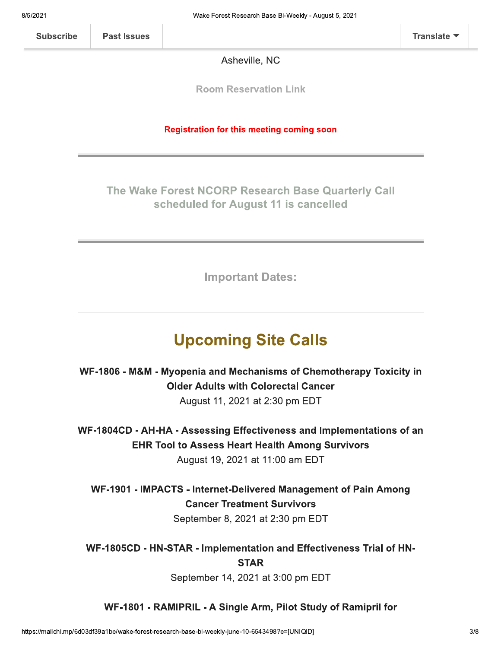Asheville, NC

**Room Reservation Link** 

#### **Registration for this meeting coming soon**

#### The Wake Forest NCORP Research Base Quarterly Call scheduled for August 11 is cancelled

**Important Dates:** 

## **Upcoming Site Calls**

WF-1806 - M&M - Myopenia and Mechanisms of Chemotherapy Toxicity in **Older Adults with Colorectal Cancer** 

August 11, 2021 at 2:30 pm EDT

WF-1804CD - AH-HA - Assessing Effectiveness and Implementations of an **EHR Tool to Assess Heart Health Among Survivors** August 19, 2021 at 11:00 am EDT

WF-1901 - IMPACTS - Internet-Delivered Management of Pain Among **Cancer Treatment Survivors** September 8, 2021 at 2:30 pm EDT

WF-1805CD - HN-STAR - Implementation and Effectiveness Trial of HN-**STAR** 

September 14, 2021 at 3:00 pm EDT

#### WF-1801 - RAMIPRIL - A Single Arm, Pilot Study of Ramipril for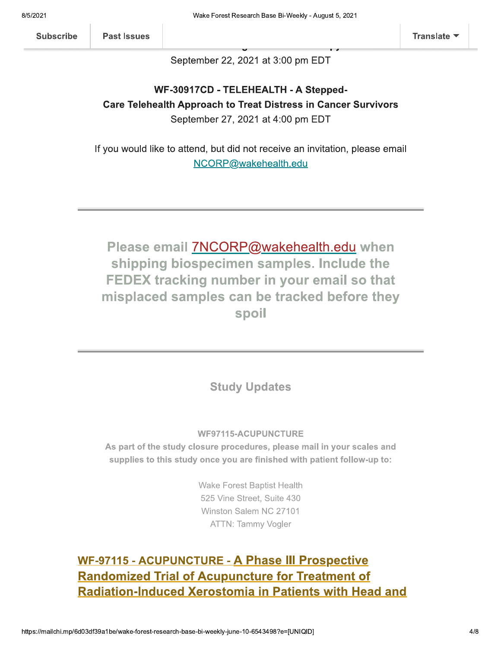**Past Issues** 

September 22, 2021 at 3:00 pm EDT

#### WF-30917CD - TELEHEALTH - A Stepped-**Care Telehealth Approach to Treat Distress in Cancer Survivors** September 27, 2021 at 4:00 pm EDT

If you would like to attend, but did not receive an invitation, please email NCORP@wakehealth.edu

Please email 7NCORP@wakehealth.edu when shipping biospecimen samples. Include the FEDEX tracking number in your email so that misplaced samples can be tracked before they spoil

#### **Study Updates**

#### **WF97115-ACUPUNCTURE**

As part of the study closure procedures, please mail in your scales and supplies to this study once you are finished with patient follow-up to:

> **Wake Forest Baptist Health** 525 Vine Street, Suite 430 Winston Salem NC 27101 **ATTN: Tammy Vogler**

## **WF-97115 - ACUPUNCTURE - A Phase III Prospective Randomized Trial of Acupuncture for Treatment of Radiation-Induced Xerostomia in Patients with Head and**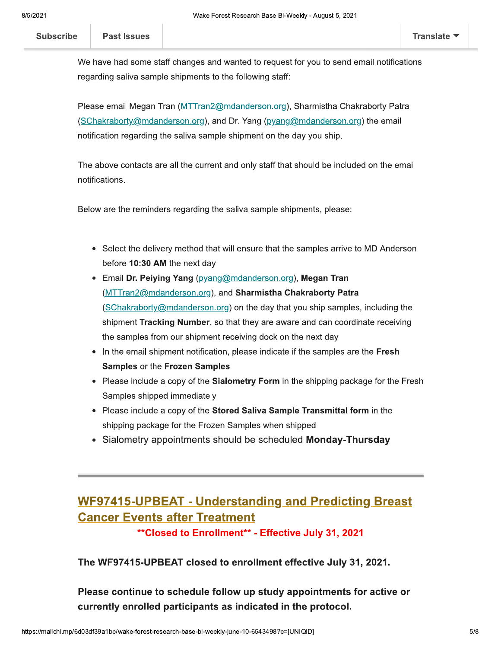We have had some staff changes and wanted to request for you to send email notifications regarding saliva sample shipments to the following staff:

Please email Megan Tran (MTTran2@mdanderson.org), Sharmistha Chakraborty Patra (SChakraborty@mdanderson.org), and Dr. Yang (pyang@mdanderson.org) the email notification regarding the saliva sample shipment on the day you ship.

The above contacts are all the current and only staff that should be included on the email notifications.

Below are the reminders regarding the saliva sample shipments, please:

- Select the delivery method that will ensure that the samples arrive to MD Anderson before 10:30 AM the next day
- Email Dr. Peiying Yang (pyang@mdanderson.org), Megan Tran (MTTran2@mdanderson.org), and Sharmistha Chakraborty Patra (SChakraborty@mdanderson.org) on the day that you ship samples, including the shipment Tracking Number, so that they are aware and can coordinate receiving the samples from our shipment receiving dock on the next day
- In the email shipment notification, please indicate if the samples are the Fresh Samples or the Frozen Samples
- Please include a copy of the **Sialometry Form** in the shipping package for the Fresh Samples shipped immediately
- Please include a copy of the Stored Saliva Sample Transmittal form in the shipping package for the Frozen Samples when shipped
- Sialometry appointments should be scheduled Monday-Thursday

## **WF97415-UPBEAT - Understanding and Predicting Breast Cancer Events after Treatment**

\*\* Closed to Enrollment\*\* - Effective July 31, 2021

The WF97415-UPBEAT closed to enrollment effective July 31, 2021.

Please continue to schedule follow up study appointments for active or currently enrolled participants as indicated in the protocol.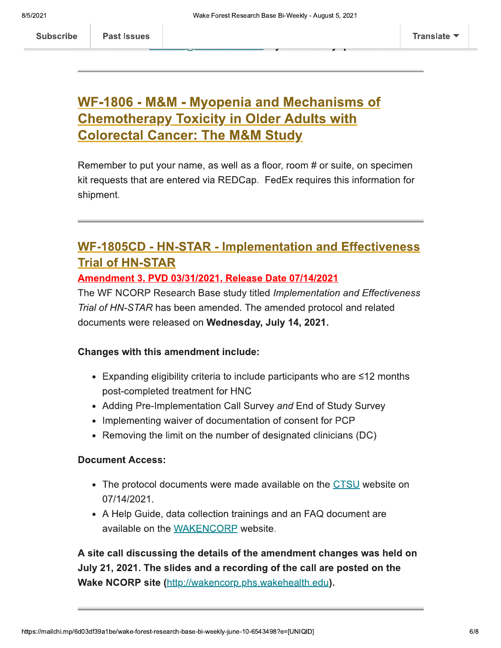## WF-1806 - M&M - Myopenia and Mechanisms of **Chemotherapy Toxicity in Older Adults with Colorectal Cancer: The M&M Study**

Remember to put your name, as well as a floor, room # or suite, on specimen kit requests that are entered via REDCap. FedEx requires this information for shipment.

## **WF-1805CD - HN-STAR - Implementation and Effectiveness Trial of HN-STAR**

<u>Amendment 3, PVD 03/31/2021, Release Date 07/14/2021</u>

The WF NCORP Research Base study titled Implementation and Effectiveness Trial of HN-STAR has been amended. The amended protocol and related documents were released on Wednesday, July 14, 2021.

#### **Changes with this amendment include:**

- Expanding eligibility criteria to include participants who are  $\leq 12$  months post-completed treatment for HNC
- Adding Pre-Implementation Call Survey and End of Study Survey
- Implementing waiver of documentation of consent for PCP
- Removing the limit on the number of designated clinicians (DC)

#### **Document Access:**

**Past Issues** 

- The protocol documents were made available on the CTSU website on 07/14/2021.
- A Help Guide, data collection trainings and an FAQ document are available on the WAKENCORP website.

A site call discussing the details of the amendment changes was held on July 21, 2021. The slides and a recording of the call are posted on the Wake NCORP site (http://wakencorp.phs.wakehealth.edu).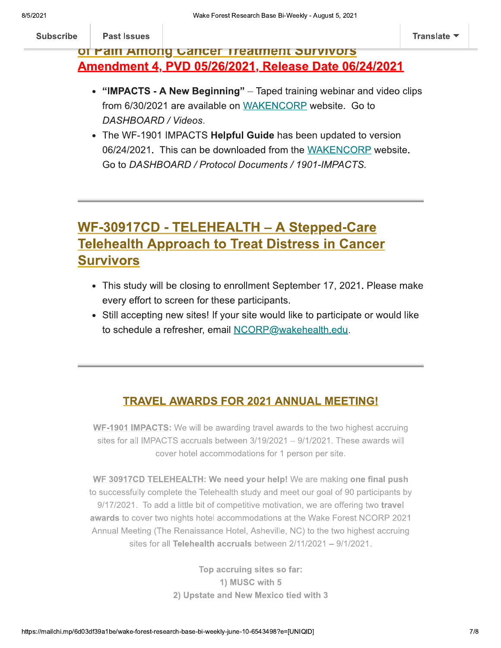#### **Past Issues**

#### of Pain Among Cancer Treatment Survivors Amendment 4, PVD 05/26/2021, Release Date 06/24/2021

- "IMPACTS A New Beginning" Taped training webinar and video clips from 6/30/2021 are available on WAKENCORP website. Go to DASHBOARD / Videos.
- The WF-1901 IMPACTS Helpful Guide has been updated to version 06/24/2021. This can be downloaded from the WAKENCORP website. Go to DASHBOARD / Protocol Documents / 1901-IMPACTS.

## WF-30917CD - TELEHEALTH - A Stepped-Care **Telehealth Approach to Treat Distress in Cancer Survivors**

- This study will be closing to enrollment September 17, 2021. Please make every effort to screen for these participants.
- Still accepting new sites! If your site would like to participate or would like to schedule a refresher, email NCORP@wakehealth.edu.

#### **TRAVEL AWARDS FOR 2021 ANNUAL MEETING!**

WF-1901 IMPACTS: We will be awarding travel awards to the two highest accruing sites for all IMPACTS accruals between 3/19/2021 - 9/1/2021. These awards will cover hotel accommodations for 1 person per site.

WF 30917CD TELEHEALTH: We need your help! We are making one final push to successfully complete the Telehealth study and meet our goal of 90 participants by 9/17/2021. To add a little bit of competitive motivation, we are offering two travel awards to cover two nights hotel accommodations at the Wake Forest NCORP 2021 Annual Meeting (The Renaissance Hotel, Asheville, NC) to the two highest accruing sites for all Telehealth accruals between  $2/11/2021 - 9/1/2021$ .

> Top accruing sites so far: 1) MUSC with 5 2) Upstate and New Mexico tied with 3